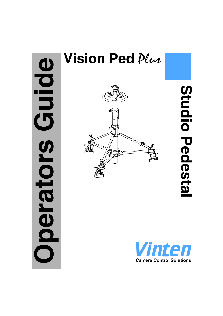# Guide **Operators Guide** perators

# **Vision Ped** Plus



Studio Pedestal **Studio Pedestal**

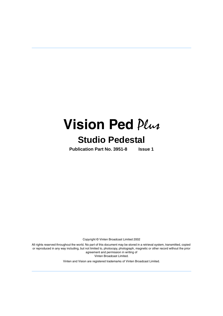# **Vision Ped** Plus **Studio Pedestal**

**Publication Part No. 3951-8 Issue 1**

Copyright © Vinten Broadcast Limited 2002

All rights reserved throughout the world. No part of this document may be stored in a retrieval system, transmitted, copied or reproduced in any way including, but not limited to, photocopy, photograph, magnetic or other record without the prior agreement and permission in writing of Vinten Broadcast Limited.

Vinten and Vision are registered trademarks of Vinten Broadcast Limited.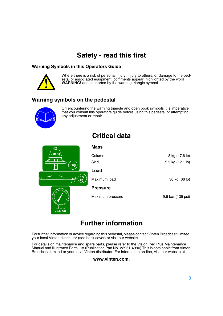# **Safety - read this first**

**Critical data**

#### <span id="page-2-0"></span>**Warning Symbols in this Operators Guide**



Where there is a risk of personal injury, injury to others, or damage to the pedestal or associated equipment, comments appear, highlighted by the word **WARNING!** and supported by the warning triangle symbol.

## **Warning symbols on the pedestal**



On encountering the warning triangle and open book symbols it is imperative that you consult this operators guide before using this pedestal or attempting any adjustment or repair.

<span id="page-2-1"></span>

**<9.6 bar**

| <b>Mass</b>      |                   |
|------------------|-------------------|
| Column           | 8 kg (17.6 lb)    |
| Skid             | 5.5 kg (12.1 lb)  |
| Load             |                   |
| Maximum load     | 30 kg (66 lb)     |
| <b>Pressure</b>  |                   |
| Maximum pressure | 9.6 bar (139 psi) |

# **Further information**

<span id="page-2-2"></span>For further information or advice regarding this pedestal, please contact Vinten Broadcast Limited, your local Vinten distributor (see back cover) or visit our website.

For details on maintenance and spare parts, please refer to the Vision Ped Plus Maintenance Manual and Illustrated Parts List (Publication Part No. V3951-4990) This is obtainable from Vinten Broadcast Limited or your local Vinten distributor. For information on-line, visit our website at

#### **www.vinten.com.**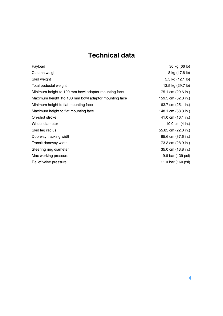# **Technical data**

<span id="page-3-0"></span>

| Payload                                               | 30 kg (66 lb)       |
|-------------------------------------------------------|---------------------|
| Column weight                                         | 8 kg (17.6 lb)      |
| Skid weight                                           | 5.5 kg (12.1 lb)    |
| Total pedestal weight                                 | 13.5 kg (29.7 lb)   |
| Minimum height to 100 mm bowl adaptor mounting face   | 75.1 cm (29.6 in.)  |
| Maximum height 1 to 100 mm bowl adaptor mounting face | 159.5 cm (62.8 in.) |
| Minimum height to flat mounting face                  | 63.7 cm (25.1 in.)  |
| Maximum height to flat mounting face                  | 148.1 cm (58.3 in.) |
| On-shot stroke                                        | 41.0 cm (16.1 in.)  |
| Wheel diameter                                        | 10.0 cm (4 in.)     |
| Skid leg radius                                       | 55.85 cm (22.0 in.) |
| Doorway tracking width                                | 95.6 cm (37.6 in.)  |
| Transit doorway width                                 | 73.3 cm (28.9 in.)  |
| Steering ring diameter                                | 35.0 cm (13.8 in.)  |
| Max working pressure                                  | 9.6 bar (139 psi)   |
| Relief valve pressure                                 | 11.0 bar (160 psi)  |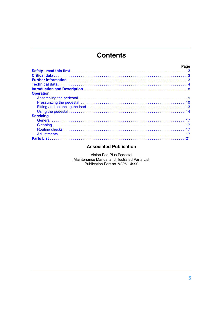# **Contents**

| Page             |  |
|------------------|--|
|                  |  |
|                  |  |
|                  |  |
|                  |  |
|                  |  |
| <b>Operation</b> |  |
|                  |  |
|                  |  |
|                  |  |
|                  |  |
| <b>Servicing</b> |  |
|                  |  |
|                  |  |
|                  |  |
|                  |  |
|                  |  |

#### **Associated Publication**

Vision Ped Plus Pedestal Maintenance Manual and illustrated Parts List Publication Part no. V3951-4990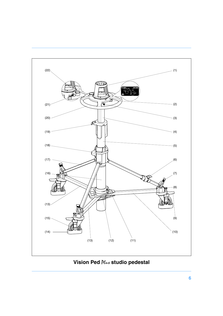<span id="page-5-11"></span><span id="page-5-10"></span><span id="page-5-9"></span><span id="page-5-8"></span><span id="page-5-7"></span><span id="page-5-5"></span><span id="page-5-4"></span><span id="page-5-3"></span><span id="page-5-1"></span>

<span id="page-5-16"></span><span id="page-5-15"></span><span id="page-5-14"></span><span id="page-5-13"></span><span id="page-5-12"></span><span id="page-5-6"></span><span id="page-5-2"></span><span id="page-5-0"></span>**Vision Ped**  $\mathcal{P}\mathcal{L}\rightarrow$  **studio pedestal**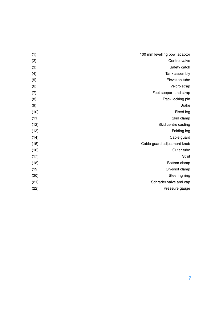| 100 mm levelling bowl adaptor | (1)  |
|-------------------------------|------|
| Control valve                 | (2)  |
| Safety catch                  | (3)  |
| Tank assembly                 | (4)  |
| Elevation tube                | (5)  |
| Velcro strap                  | (6)  |
| Foot support and strap        | (7)  |
| Track locking pin             | (8)  |
| <b>Brake</b>                  | (9)  |
| Fixed leg                     | (10) |
| Skid clamp                    | (11) |
| Skid centre casting           | (12) |
| Folding leg                   | (13) |
| Cable guard                   | (14) |
| Cable guard adjustment knob   | (15) |
| Outer tube                    | (16) |
| <b>Strut</b>                  | (17) |
| Bottom clamp                  | (18) |
| On-shot clamp                 | (19) |
| Steering ring                 | (20) |
| Schrader valve and cap        | (21) |
| Pressure gauge                | (22) |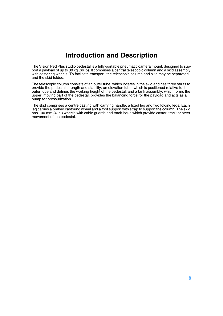# **Introduction and Description**

<span id="page-7-0"></span>The Vision Ped Plus studio pedestal is a fully-portable pneumatic camera mount, designed to support a payload of up to 30 kg (66 lb). It comprises a central telescopic column and a skid assembly with castoring wheels. To facilitate transport, the telescopic column and skid may be separated and the skid folded.

The telescopic column consists of an outer tube, which locates in the skid and has three struts to provide the pedestal strength and stability; an elevation tube, which is positioned relative to the outer tube and defines the working height of the pedestal; and a tank assembly, which forms the upper, moving part of the pedestal, provides the balancing force for the payload and acts as a pump for pressurization.

The skid comprises a centre casting with carrying handle, a fixed leg and two folding legs. Each leg carries a braked castoring wheel and a foot support with strap to support the column. The skid has 100 mm (4 in.) wheels with cable guards and track locks which provide castor, track or steer movement of the pedestal.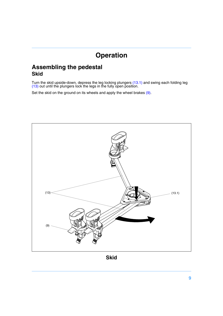# <span id="page-8-3"></span>**Operation**

## <span id="page-8-1"></span><span id="page-8-0"></span>**Assembling the pedestal Skid**

Turn the skid upside-down, depress the leg locking plungers [\(13.1\)](#page-8-3) and swing each folding leg [\(13\)](#page-8-2) out until the plungers lock the legs in the fully open position.

Set the skid on the ground on its wheels and apply the wheel brakes [\(9\).](#page-8-4)

<span id="page-8-4"></span><span id="page-8-2"></span>

**Skid**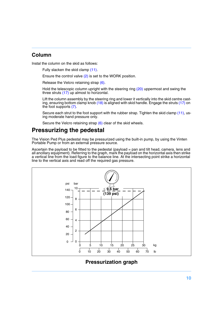#### **Column**

Instal the column on the skid as follows:

Fully slacken the skid clamp [\(11\)](#page-5-0).

Ensure the control valve [\(2\)](#page-5-1) is set to the WORK position.

Release the Velcro retaining strap [\(6\).](#page-5-2)

Hold the telescopic column upright with the steering ring [\(20\)](#page-5-3) uppermost and swing the three struts [\(17\)](#page-5-4) up almost to horizontal.

Lift the column assembly by the steering ring and lower it vertically into the skid centre casting, ensuring bottom clamp knob [\(18\)](#page-5-5) is aligned with skid handle. Engage the struts [\(17\)](#page-5-4) on the foot supports [\(7\).](#page-5-6)

Secure each strut to the foot support with the rubber strap. Tighten the skid clamp [\(11\),](#page-5-0) using moderate hand pressure only.

Secure the Velcro retaining strap [\(6\)](#page-5-2) clear of the skid wheels.

#### <span id="page-9-0"></span>**Pressurizing the pedestal**

The Vision Ped Plus pedestal may be pressurized using the built-in pump, by using the Vinten Portable Pump or from an external pressure source.

Ascertain the payload to be fitted to the pedestal (payload = pan and tilt head, camera, lens and all ancillary equipment). Referring to the graph, mark the payload on the horizontal axis then strike a vertical line from the load figure to the balance line. At the intersecting point strike a horizontal line to the vertical axis and read off the required gas pressure.



**Pressurization graph**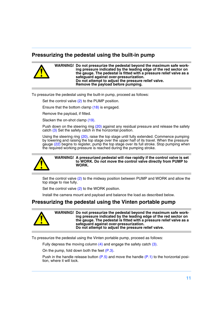#### **Pressurizing the pedestal using the built-in pump**

#### **WARNING! Do not pressurize the pedestal beyond the maximum safe working pressure indicated by the leading edge of the red sector on the gauge. The pedestal is fitted with a pressure relief valve as a safeguard against over-pressurization. Do not attempt to adjust the pressure relief valve. Remove the payload before pumping.**

To pressurize the pedestal using the built-in pump, proceed as follows:

Set the control valve [\(2\)](#page-5-1) to the PUMP position.

Ensure that the bottom clamp [\(18\)](#page-5-5) is engaged.

Remove the payload, if fitted.

Slacken the on-shot clamp [\(19\).](#page-5-7)

Push down on the steering ring [\(20\)](#page-5-3) against any residual pressure and release the safety catch [\(3\)](#page-5-8) Set the safety catch in the horizontal position.

Using the steering ring [\(20\),](#page-5-3) raise the top stage until fully extended. Commence pumping by lowering and raising the top stage over the upper half of its travel. When the pressure gauge [\(22\)](#page-5-9) begins to register, pump the top stage over its full stroke. Stop pumping when the required working pressure is reached during the pumping stroke.



**WARNING! A pressurized pedestal will rise rapidly if the control valve is set to WORK. Do not move the control valve directly from PUMP to WORK.**

Set the control valve [\(2\)](#page-5-1) to the midway position between PUMP and WORK and allow the top stage to rise fully.

Set the control valve [\(2\)](#page-5-1) to the WORK position.

Install the camera mount and payload and balance the load as described below.

#### **Pressurizing the pedestal using the Vinten portable pump**



**WARNING! Do not pressurize the pedestal beyond the maximum safe working pressure indicated by the leading edge of the red sector on the gauge. The pedestal is fitted with a pressure relief valve as a safeguard against over-pressurization. Do not attempt to adjust the pressure relief valve.**

To pressurize the pedestal using the Vinten portable pump, proceed as follows:

Fully depress the moving column  $(4)$  and engage the safety catch  $(3)$ .

On the pump, fold down both the feet [\(P.3\)](#page-11-0).

Push in the handle release button  $(P.5)$  and move the handle  $(P.1)$  to the horizontal position, where it will lock.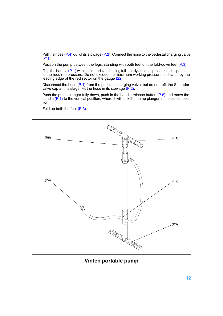Pull the hose  $(P.4)$  out of its stowage  $(P.2)$ . Connect the hose to the pedestal charging valve [\(21\)](#page-5-11).

Position the pump between the legs, standing with both feet on the fold-down feet  $(P.3)$ .

Grip the handle [\(P.1\)](#page-11-2) with both hands and, using full steady strokes, pressurize the pedestal to the required pressure. Do not exceed the maximum working pressure, indicated by the leading edge of the red sector on the gauge [\(22\)](#page-5-9).

Disconnect the hose [\(P.4\)](#page-11-3) from the pedestal charging valve, but do not refit the Schrader valve cap at this stage. Fit the hose in its stowage [\(P.2\).](#page-11-4)

Push the pump plunger fully down, push in the handle release button [\(P.5\)](#page-11-1) and move the handle [\(P.1\)](#page-11-2) to the vertical position, where it will lock the pump plunger in the closed position.

<span id="page-11-2"></span>Fold up both the feet [\(P.3\)](#page-11-0).

<span id="page-11-3"></span><span id="page-11-1"></span>

<span id="page-11-4"></span><span id="page-11-0"></span>**Vinten portable pump**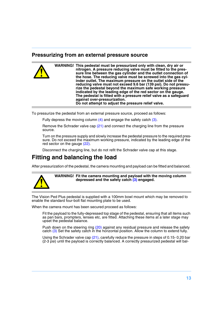#### **Pressurizing from an external pressure source**

|  | WARNING! This pedestal must be pressurized only with clean, dry air or<br>nitrogen. A pressure reducing valve must be fitted to the pres-<br>sure line between the gas cylinder and the outlet connection of<br>the hose. The reducing valve must be screwed into the gas cyl-<br>inder outlet. The maximum pressure on the outlet side of the<br>reducing valve must not exceed 9.6 bar (139 psi). Do not pressu-<br>rize the pedestal beyond the maximum safe working pressure<br>indicated by the leading edge of the red sector on the gauge.<br>The pedestal is fitted with a pressure relief valve as a safeguard |
|--|-------------------------------------------------------------------------------------------------------------------------------------------------------------------------------------------------------------------------------------------------------------------------------------------------------------------------------------------------------------------------------------------------------------------------------------------------------------------------------------------------------------------------------------------------------------------------------------------------------------------------|
|  | against over-pressurization.<br>Do not attempt to adjust the pressure relief valve.                                                                                                                                                                                                                                                                                                                                                                                                                                                                                                                                     |

To pressurize the pedestal from an external pressure source, proceed as follows:

Fully depress the moving column  $(4)$  and engage the safety catch  $(3)$ .

Remove the Schrader valve cap [\(21\)](#page-5-11) and connect the charging line from the pressure source.

Turn on the pressure supply and slowly increase the pedestal pressure to the required pressure. Do not exceed the maximum working pressure, indicated by the leading edge of the red sector on the gauge [\(22\)](#page-5-9).

Disconnect the charging line, but do not refit the Schrader valve cap at this stage.

## <span id="page-12-0"></span>**Fitting and balancing the load**

After pressurization of the pedestal, the camera mounting and payload can be fitted and balanced.



**WARNING! Fit the camera mounting and payload with the moving column depressed and the safety catch [\(3\)](#page-5-8) engaged.**

The Vision Ped Plus pedestal is supplied with a 100mm bowl mount which may be removed to enable the standard four-bolt flat mounting plate to be used.

When the camera mount has been secured proceed as follows:

Fit the payload to the fully-depressed top stage of the pedestal, ensuring that all items such as pan bars, prompters, lenses etc, are fitted. Attaching these items at a later stage may upset the pedestal balance.

Push down on the steering ring [\(20\)](#page-5-3) against any residual pressure and release the safety catch [\(3\)](#page-5-8) Set the safety catch in the horizontal position. Allow the column to extend fully.

Using the Schrader valve cap [\(21\),](#page-5-11) carefully reduce the pressure in steps of 0.15- 0.20 bar (2-3 psi) until the payload is correctly balanced. A correctly pressurized pedestal will bal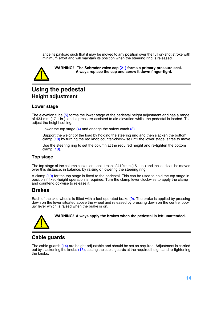ance its payload such that it may be moved to any position over the full on-shot stroke with minimum effort and will maintain its position when the steering ring is released.



**WARNING! The Schrader valve cap [\(21\)](#page-5-11) forms a primary pressure seal. Always replace the cap and screw it down finger-tight.**

# <span id="page-13-0"></span>**Using the pedestal Height adjustment**

#### **Lower stage**

The elevation tube [\(5\)](#page-5-12) forms the lower stage of the pedestal height adjustment and has a range of 434 mm (17.1 in.). and is pressure-assisted to aid elevation whilst the pedestal is loaded. To adjust the height setting:

Lower the top stage  $(4)$  and engage the safety catch  $(3)$ .

Support the weight of the load by holding the steering ring and then slacken the bottom clamp [\(18\)](#page-5-5) by turning the red knob counter-clockwise until the lower stage is free to move.

Use the steering ring to set the column at the required height and re-tighten the bottom clamp [\(18\)](#page-5-5).

#### **Top stage**

The top stage of the column has an on-shot stroke of 410 mm (16.1 in.) and the load can be moved over this distance, in balance, by raising or lowering the steering ring.

A clamp [\(19\)](#page-5-7) for the top stage is fitted to the pedestal. This can be used to hold the top stage in position if fixed-height operation is required. Turn the clamp lever clockwise to apply the clamp and counter-clockwise to release it.

#### **Brakes**

Each of the skid wheels is fitted with a foot operated brake [\(9\).](#page-5-13) The brake is applied by pressing down on the lever situated above the wheel and released by pressing down on the centre 'popup' lever which is raised when the brake is on.



**WARNING! Always apply the brakes when the pedestal is left unattended.**

#### **Cable guards**

The cable guards [\(14\)](#page-5-14) are height-adjustable and should be set as required. Adjustment is carried out by slackening the knobs [\(15\)](#page-5-15), setting the cable guards at the required height and re-tightening the knobs.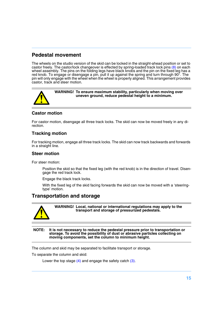#### **Pedestal movement**

The wheels on the studio version of the skid can be locked in the straight-ahead position or set to castor freely. The castor/lock changeover is effected by spring-loaded track lock pins [\(8\)](#page-5-16) on each wheel assembly. The pins on the folding legs have black knobs and the pin on the fixed leg has a red knob. To engage or disengage a pin, pull it up against the spring and turn through 90°. The pin will only engage with the wheel when the wheel is properly aligned. This arrangement provides castor, track and steer motion.



**WARNING! To ensure maximum stability, particularly when moving over uneven ground, reduce pedestal height to a minimum.**

#### **Castor motion**

For castor motion, disengage all three track locks. The skid can now be moved freely in any direction.

#### **Tracking motion**

For tracking motion, engage all three track locks. The skid can now track backwards and forwards in a straight line.

#### **Steer motion**

For steer motion:

Position the skid so that the fixed leg (with the red knob) is in the direction of travel. Disengage the red track lock.

Engage the black track locks.

With the fixed leg of the skid facing forwards the skid can now be moved with a 'steeringtype' motion.

#### **Transportation and storage**



**WARNING! Local, national or international regulations may apply to the transport and storage of pressurized pedestals.**

**NOTE: It is not necessary to reduce the pedestal pressure prior to transportation or storage. To avoid the possibility of dust or abrasive particles collecting on moving components, set the column to minimum height.**

The column and skid may be separated to facilitate transport or storage.

To separate the column and skid:

Lower the top stage  $(4)$  and engage the safety catch  $(3)$ .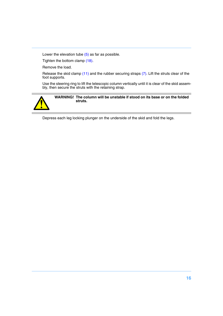Lower the elevation tube  $(5)$  as far as possible.

Tighten the bottom clamp [\(18\).](#page-5-5)

Remove the load.

Release the skid clamp [\(11\)](#page-5-0) and the rubber securing straps [\(7\)](#page-5-6). Lift the struts clear of the foot supports.

Use the steering ring to lift the telescopic column vertically until it is clear of the skid assembly, then secure the struts with the retaining strap.



#### **WARNING! The column will be unstable if stood on its base or on the folded struts.**

Depress each leg locking plunger on the underside of the skid and fold the legs.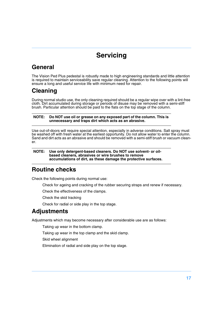# **Servicing**

# <span id="page-16-1"></span><span id="page-16-0"></span>**General**

The Vision Ped Plus pedestal is robustly made to high engineering standards and little attention is required to maintain serviceability save regular cleaning. Attention to the following points will ensure a long and useful service life with minimum need for repair.

# <span id="page-16-2"></span>**Cleaning**

During normal studio use, the only cleaning required should be a regular wipe over with a lint-free cloth. Dirt accumulated during storage or periods of disuse may be removed with a semi-stiff brush. Particular attention should be paid to the flats on the top stage of the column.

#### **NOTE: Do NOT use oil or grease on any exposed part of the column. This is unnecessary and traps dirt which acts as an abrasive.**

Use out-of-doors will require special attention, especially in adverse conditions. Salt spray must be washed off with fresh water at the earliest opportunity. Do not allow water to enter the column. Sand and dirt acts as an abrasive and should be removed with a semi-stiff brush or vacuum cleaner.

#### **NOTE: Use only detergent-based cleaners. Do NOT use solvent- or oilbased cleaners, abrasives or wire brushes to remove accumulations of dirt, as these damage the protective surfaces.**

# <span id="page-16-3"></span>**Routine checks**

Check the following points during normal use:

Check for ageing and cracking of the rubber securing straps and renew if necessary.

Check the effectiveness of the clamps.

Check the skid tracking

Check for radial or side play in the top stage.

# <span id="page-16-4"></span>**Adjustments**

Adjustments which may become necessary after considerable use are as follows:

Taking up wear in the bottom clamp.

Taking up wear in the top clamp and the skid clamp.

Skid wheel alignment

Elimination of radial and side play on the top stage.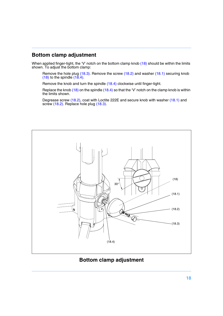#### **Bottom clamp adjustment**

When applied finger-tight, the 'V' notch on the bottom clamp knob  $(18)$  should be within the limits shown. To adjust the bottom clamp:

Remove the hole plug [\(18.3\)](#page-17-0). Remove the screw [\(18.2\)](#page-17-1) and washer [\(18.1\)](#page-17-2) securing knob  $(18)$  to the spindle  $(18.4)$ .

Remove the knob and turn the spindle [\(18.4\)](#page-17-3) clockwise until finger-tight.

Replace the knob [\(18\)](#page-17-4) on the spindle [\(18.4\)](#page-17-3) so that the 'V' notch on the clamp knob is within the limits shown.

Degrease screw [\(18.2\)](#page-17-1), coat with Loctite 222E and secure knob with washer [\(18.1\)](#page-17-2) and screw [\(18.2\)](#page-17-1). Replace hole plug [\(18.3\).](#page-17-0)



<span id="page-17-4"></span><span id="page-17-3"></span><span id="page-17-2"></span><span id="page-17-1"></span><span id="page-17-0"></span>**Bottom clamp adjustment**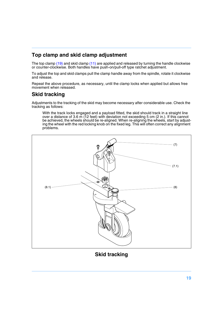#### **Top clamp and skid clamp adjustment**

The top clamp [\(19\)](#page-5-7) and skid clamp [\(11\)](#page-5-0) are applied and released by turning the handle clockwise or counter-clockwise. Both handles have push-on/pull-off type ratchet adjustment.

To adjust the top and skid clamps pull the clamp handle away from the spindle, rotate it clockwise and release.

Repeat the above procedure, as necessary, until the clamp locks when applied but allows free movement when released.

#### **Skid tracking**

Adjustments to the tracking of the skid may become necessary after considerable use. Check the tracking as follows:

<span id="page-18-3"></span><span id="page-18-2"></span><span id="page-18-0"></span>With the track locks engaged and a payload fitted, the skid should track in a straight line over a distance of 3.6 m (12 feet) with deviation not exceeding 5 cm (2 in.). If this cannot be achieved, the wheels should be re-aligned. When re-aligning the wheels, start by adjusting the wheel with the red locking knob on the fixed leg. This will often correct any alignment problems.

<span id="page-18-1"></span>

**Skid tracking**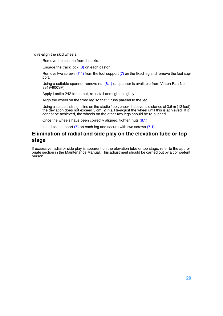To re-align the skid wheels:

Remove the column from the skid.

Engage the track lock [\(8\)](#page-18-2) on each castor.

Remove two screws  $(7.1)$  from the foot support  $(7)$  on the fixed leg and remove the foot support.

Using a suitable spanner remove nut  $(8.1)$  (a spanner is available from Vinten Part No. 3319-900SP).

Apply Loctite 242 to the nut, re-install and tighten lightly.

Align the wheel on the fixed leg so that it runs parallel to the leg.

Using a suitable straight line on the studio floor, check that over a distance of 3.6 m (12 feet) the deviation does not exceed 5 cm (2 in.). Re-adjust the wheel until this is achieved. If it cannot be achieved, the wheels on the other two legs should be re-aligned.

Once the wheels have been correctly aligned, tighten nuts [\(8.1\)](#page-18-1).

Install foot support  $(7)$  on each leg and secure with two screws  $(7.1)$ .

#### **Elimination of radial and side play on the elevation tube or top stage**

If excessive radial or side play is apparent on the elevation tube or top stage, refer to the appropriate section in the Maintenance Manual. This adjustment should be carried out by a competent person.